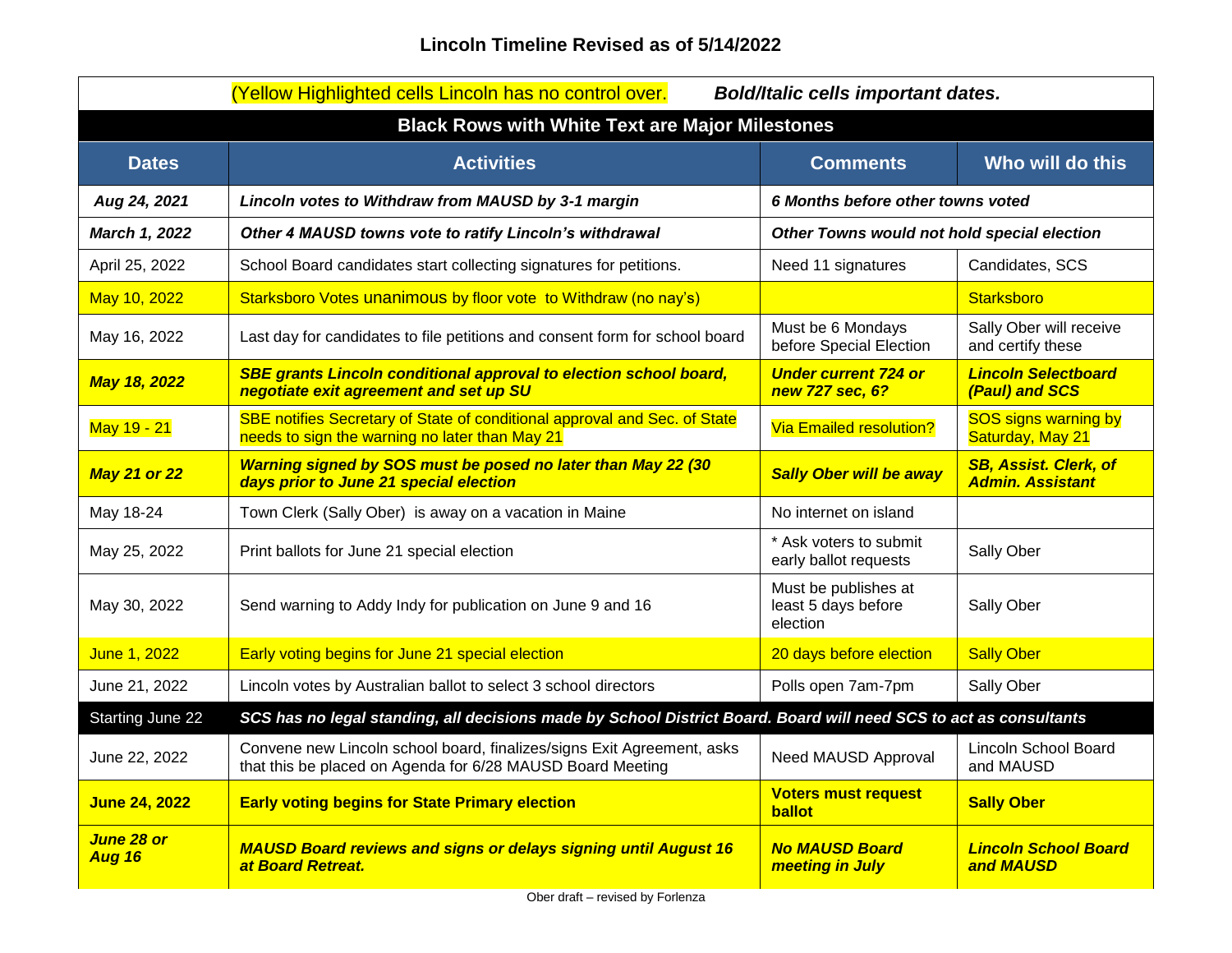| (Yellow Highlighted cells Lincoln has no control over.<br><b>Bold/Italic cells important dates.</b> |                                                                                                                                      |                                                                                                                   |                                                         |  |
|-----------------------------------------------------------------------------------------------------|--------------------------------------------------------------------------------------------------------------------------------------|-------------------------------------------------------------------------------------------------------------------|---------------------------------------------------------|--|
| <b>Black Rows with White Text are Major Milestones</b>                                              |                                                                                                                                      |                                                                                                                   |                                                         |  |
| <b>Dates</b>                                                                                        | <b>Activities</b>                                                                                                                    | <b>Comments</b>                                                                                                   | Who will do this                                        |  |
| Aug 24, 2021                                                                                        | Lincoln votes to Withdraw from MAUSD by 3-1 margin                                                                                   | 6 Months before other towns voted                                                                                 |                                                         |  |
| March 1, 2022                                                                                       | Other 4 MAUSD towns vote to ratify Lincoln's withdrawal                                                                              | Other Towns would not hold special election                                                                       |                                                         |  |
| April 25, 2022                                                                                      | School Board candidates start collecting signatures for petitions.                                                                   | Need 11 signatures                                                                                                | Candidates, SCS                                         |  |
| May 10, 2022                                                                                        | Starksboro Votes unanimous by floor vote to Withdraw (no nay's)                                                                      |                                                                                                                   | Starksboro                                              |  |
| May 16, 2022                                                                                        | Last day for candidates to file petitions and consent form for school board                                                          | Must be 6 Mondays<br>before Special Election                                                                      | Sally Ober will receive<br>and certify these            |  |
| <b>May 18, 2022</b>                                                                                 | <b>SBE grants Lincoln conditional approval to election school board,</b><br>negotiate exit agreement and set up SU                   | <b>Under current 724 or</b><br>new 727 sec, 6?                                                                    | <b>Lincoln Selectboard</b><br>(Paul) and SCS            |  |
| May 19 - 21                                                                                         | SBE notifies Secretary of State of conditional approval and Sec. of State<br>needs to sign the warning no later than May 21          | <b>Via Emailed resolution?</b>                                                                                    | <b>SOS signs warning by</b><br>Saturday, May 21         |  |
| <b>May 21 or 22</b>                                                                                 | Warning signed by SOS must be posed no later than May 22 (30<br>days prior to June 21 special election                               | <b>Sally Ober will be away</b>                                                                                    | <b>SB, Assist. Clerk, of</b><br><b>Admin. Assistant</b> |  |
| May 18-24                                                                                           | Town Clerk (Sally Ober) is away on a vacation in Maine                                                                               | No internet on island                                                                                             |                                                         |  |
| May 25, 2022                                                                                        | Print ballots for June 21 special election                                                                                           | * Ask voters to submit<br>early ballot requests                                                                   | Sally Ober                                              |  |
| May 30, 2022                                                                                        | Send warning to Addy Indy for publication on June 9 and 16                                                                           | Must be publishes at<br>least 5 days before<br>election                                                           | Sally Ober                                              |  |
| June 1, 2022                                                                                        | Early voting begins for June 21 special election                                                                                     | 20 days before election                                                                                           | <b>Sally Ober</b>                                       |  |
| June 21, 2022                                                                                       | Lincoln votes by Australian ballot to select 3 school directors                                                                      | Polls open 7am-7pm                                                                                                | Sally Ober                                              |  |
| <b>Starting June 22</b>                                                                             |                                                                                                                                      | SCS has no legal standing, all decisions made by School District Board. Board will need SCS to act as consultants |                                                         |  |
| June 22, 2022                                                                                       | Convene new Lincoln school board, finalizes/signs Exit Agreement, asks<br>that this be placed on Agenda for 6/28 MAUSD Board Meeting | Need MAUSD Approval                                                                                               | Lincoln School Board<br>and MAUSD                       |  |
| <b>June 24, 2022</b>                                                                                | <b>Early voting begins for State Primary election</b>                                                                                | <b>Voters must request</b><br>ballot                                                                              | <b>Sally Ober</b>                                       |  |
| June 28 or<br><b>Aug 16</b>                                                                         | <b>MAUSD Board reviews and signs or delays signing until August 16</b><br>at Board Retreat.                                          | <b>No MAUSD Board</b><br>meeting in July                                                                          | <b>Lincoln School Board</b><br>and MAUSD                |  |